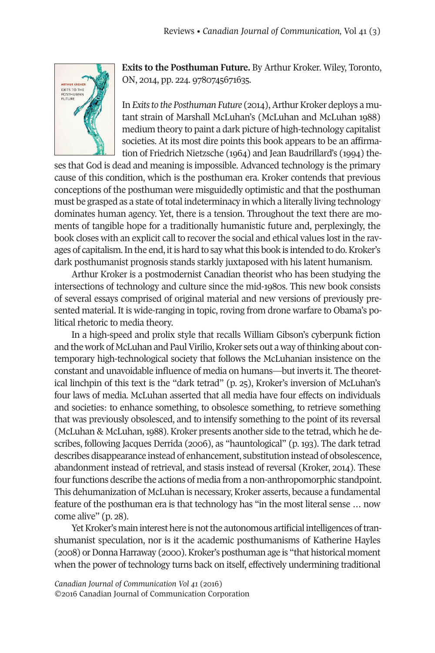

**Exits to the Posthuman Future.** By Arthur Kroker. Wiley, Toronto, ON, 2014, pp. 224. 9780745671635.

In *Exits* to the *Posthuman Future* (2014), Arthur Kroker deploys a mutant strain of Marshall McLuhan's (McLuhan and McLuhan 1988) medium theory to paint a dark picture of high-technology capitalist societies. At its most dire points this book appears to be an affirmation of Friedrich Nietzsche (1964) and Jean Baudrillard's (1994) the-

ses that God is dead and meaning is impossible. Advanced technology is the primary cause of this condition, which is the posthuman era. Kroker contends that previous conceptions of the posthuman were misguidedly optimistic and that the posthuman must be grasped as a state of total indeterminacy in which a literally living technology dominates human agency. Yet, there is a tension. Throughout the text there are moments of tangible hope for a traditionally humanistic future and, perplexingly, the book closes with an explicit call to recoverthe social and ethical values lost in the ravages of capitalism.In the end, itis hard to say whatthis book is intended to do.Kroker's dark posthumanist prognosis stands starkly juxtaposed with his latent humanism.

Arthur Kroker is a postmodernist Canadian theorist who has been studying the intersections of technology and culture since the mid-1980s. This new book consists of several essays comprised of original material and new versions of previously presented material. It is wide-ranging in topic, roving from drone warfare to Obama's political rhetoric to media theory.

In a high-speed and prolix style that recalls William Gibson's cyberpunk fiction and the work of McLuhan and Paul Virilio, Kroker sets out a way of thinking about contemporary high-technological society that follows the McLuhanian insistence on the constant and unavoidable influence of media on humans—but inverts it. The theoretical linchpin of this text is the "dark tetrad" (p. 25), Kroker's inversion of McLuhan's four laws of media. McLuhan asserted that all media have four effects on individuals and societies: to enhance something, to obsolesce something, to retrieve something that was previously obsolesced, and to intensify something to the point of its reversal (McLuhan & McLuhan, 1988). Kroker presents another side to the tetrad, which he describes, following Jacques Derrida (2006), as "hauntological" (p. 193). The dark tetrad describes disappearance instead of enhancement, substitution instead of obsolescence, abandonment instead of retrieval, and stasis instead of reversal (Kroker, 2014). These four functions describe the actions of media from a non-anthropomorphic standpoint. This dehumanization of McLuhan is necessary, Kroker asserts, because a fundamental feature of the posthuman era is that technology has "in the most literal sense … now come alive" (p. 28).

Yet Kroker's main interest here is not the autonomous artificial intelligences of transhumanist speculation, nor is it the academic posthumanisms of Katherine Hayles (2008) orDonna Harraway (2000).Kroker's posthuman age is "that historical moment when the power of technology turns back on itself, effectively undermining traditional

*Canadian Journal of [Communication](http://www.cjc-online.ca) Vol 41* (2016) ©2016 Canadian Journal of Communication Corporation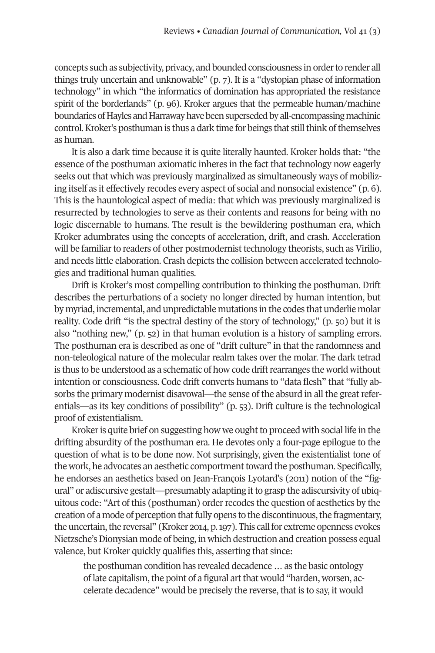concepts such as subjectivity, privacy, and bounded consciousness in order to render all things truly uncertain and unknowable" (p. 7). It is a "dystopian phase of information technology" in which "the informatics of domination has appropriated the resistance spirit of the borderlands" (p. 96). Kroker argues that the permeable human/machine boundaries of Hayles and Harraway have been superseded by all-encompassing machinic control. Kroker's posthuman is thus a dark time for beings that still think of themselves as human.

It is also a dark time because it is quite literally haunted. Kroker holds that: "the essence of the posthuman axiomatic inheres in the fact that technology now eagerly seeks out that which was previously marginalized as simultaneously ways of mobilizing itself as it effectively recodes every aspect of social and nonsocial existence" (p. 6). This is the hauntological aspect of media: that which was previously marginalized is resurrected by technologies to serve as their contents and reasons for being with no logic discernable to humans. The result is the bewildering posthuman era, which Kroker adumbrates using the concepts of acceleration, drift, and crash. Acceleration will be familiar to readers of other postmodernist technology theorists, such as Virilio, and needs little elaboration. Crash depicts the collision between accelerated technologies and traditional human qualities.

Drift is Kroker's most compelling contribution to thinking the posthuman. Drift describes the perturbations of a society no longer directed by human intention, but by myriad, incremental, and unpredictable mutations in the codes that underlie molar reality. Code drift "is the spectral destiny of the story of technology," (p. 50) but it is also "nothing new," (p. 52) in that human evolution is a history of sampling errors. The posthuman era is described as one of "drift culture" in that the randomness and non-teleological nature of the molecular realm takes over the molar. The dark tetrad is thus to be understood as a schematic of how code drift rearranges the world without intention or consciousness. Code drift converts humans to "data flesh" that "fully absorbs the primary modernist disavowal—the sense of the absurd in all the great referentials—as its key conditions of possibility" (p. 53). Drift culture is the technological proof of existentialism.

Kroker is quite brief on suggesting how we ought to proceed with social life in the drifting absurdity of the posthuman era. He devotes only a four-page epilogue to the question of what is to be done now. Not surprisingly, given the existentialist tone of the work, he advocates an aesthetic comportment toward the posthuman. Specifically, he endorses an aesthetics based on Jean-François Lyotard's (2011) notion of the "figural" or adiscursive gestalt—presumably adapting it to grasp the adiscursivity of ubiquitous code: "Art of this (posthuman) orderrecodes the question of aesthetics by the creation of a mode of perception that fully opens to the discontinuous, the fragmentary, the uncertain, the reversal" (Kroker 2014, p. 197). This call for extreme openness evokes Nietzsche's Dionysian mode of being, in which destruction and creation possess equal valence, but Kroker quickly qualifies this, asserting that since:

the posthuman condition has revealed decadence … as the basic ontology of late capitalism, the point of a figural art that would "harden, worsen, accelerate decadence" would be precisely the reverse, that is to say, it would